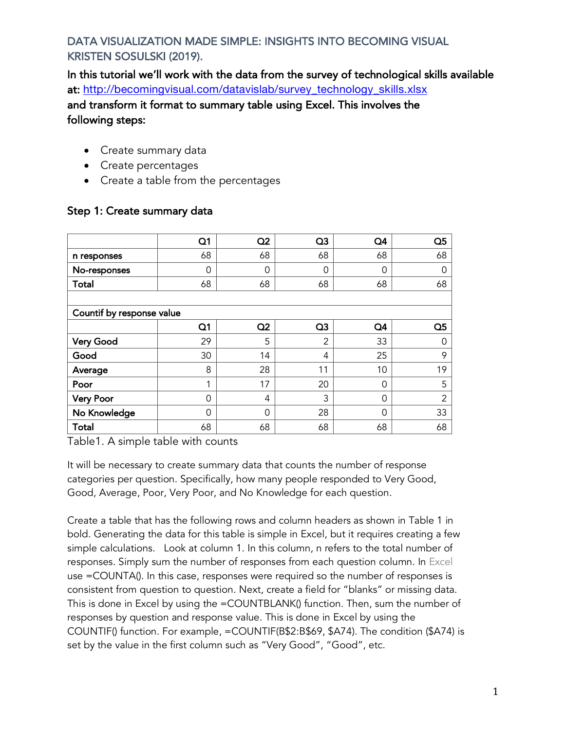In this tutorial we'll work with the data from the survey of technological skills available at: http://becomingvisual.com/datavislab/survey\_technology\_skills.xlsx and transform it format to summary table using Excel. This involves the following steps:

- Create summary data
- Create percentages
- Create a table from the percentages

|                           | Q <sub>1</sub> | Q <sub>2</sub> | Q <sub>3</sub> | Q <sub>4</sub> | Q <sub>5</sub> |
|---------------------------|----------------|----------------|----------------|----------------|----------------|
| n responses               | 68             | 68             | 68             | 68             | 68             |
| No-responses              | 0              | $\Omega$       | 0              | 0              | 0              |
| Total                     | 68             | 68             | 68             | 68             | 68             |
|                           |                |                |                |                |                |
| Countif by response value |                |                |                |                |                |
|                           | Q <sub>1</sub> | Q <sub>2</sub> | Q <sub>3</sub> | Q4             | Q <sub>5</sub> |
| <b>Very Good</b>          | 29             | 5              | 2              | 33             | Ⴖ              |
| Good                      | 30             | 14             | 4              | 25             | 9              |
| Average                   | 8              | 28             | 11             | 10             | 19             |
| Poor                      | 1              | 17             | 20             | 0              | 5              |
| <b>Very Poor</b>          | 0              | 4              | 3              | $\Omega$       | 2              |
| No Knowledge              | 0              | $\Omega$       | 28             | 0              | 33             |
| Total                     | 68             | 68             | 68             | 68             | 68             |

#### Step 1: Create summary data

Table1. A simple table with counts

It will be necessary to create summary data that counts the number of response categories per question. Specifically, how many people responded to Very Good, Good, Average, Poor, Very Poor, and No Knowledge for each question.

Create a table that has the following rows and column headers as shown in Table 1 in bold. Generating the data for this table is simple in Excel, but it requires creating a few simple calculations. Look at column 1. In this column, n refers to the total number of responses. Simply sum the number of responses from each question column. In Excel use =COUNTA(). In this case, responses were required so the number of responses is consistent from question to question. Next, create a field for "blanks" or missing data. This is done in Excel by using the =COUNTBLANK() function. Then, sum the number of responses by question and response value. This is done in Excel by using the COUNTIF() function. For example, =COUNTIF(B\$2:B\$69, \$A74). The condition (\$A74) is set by the value in the first column such as "Very Good", "Good", etc.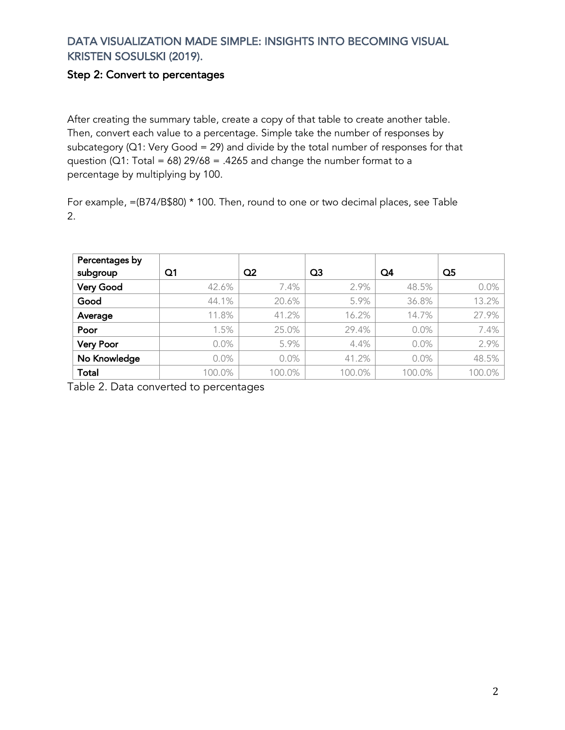#### Step 2: Convert to percentages

After creating the summary table, create a copy of that table to create another table. Then, convert each value to a percentage. Simple take the number of responses by subcategory ( $Q1$ : Very Good = 29) and divide by the total number of responses for that question ( $Q1$ : Total = 68) 29/68 = .4265 and change the number format to a percentage by multiplying by 100.

For example, =(B74/B\$80) \* 100. Then, round to one or two decimal places, see Table 2.

| Percentages by<br>subgroup | Q1     | Q <sub>2</sub> | Q3     | Q4     | $\Omega$ 5 |
|----------------------------|--------|----------------|--------|--------|------------|
| <b>Very Good</b>           | 42.6%  | 7.4%           | 2.9%   | 48.5%  | $0.0\%$    |
| Good                       | 44.1%  | 20.6%          | 5.9%   | 36.8%  | 13.2%      |
| Average                    | 11.8%  | 41.2%          | 16.2%  | 14.7%  | 27.9%      |
| Poor                       | 1.5%   | 25.0%          | 29.4%  | 0.0%   | 7.4%       |
| <b>Very Poor</b>           | 0.0%   | 5.9%           | 4.4%   | 0.0%   | 2.9%       |
| No Knowledge               | 0.0%   | 0.0%           | 41.2%  | 0.0%   | 48.5%      |
| <b>Total</b>               | 100.0% | 100.0%         | 100.0% | 100.0% | 100.0%     |

Table 2. Data converted to percentages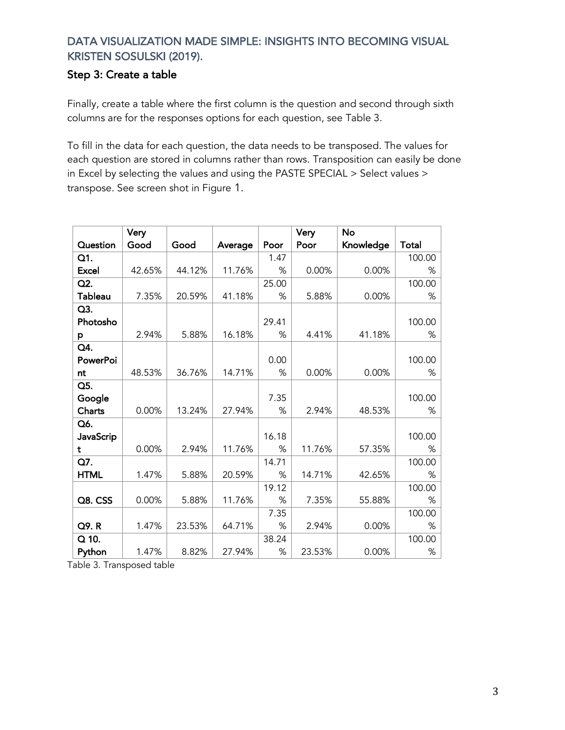### Step 3: Create a table

Finally, create a table where the first column is the question and second through sixth columns are for the responses options for each question, see Table 3.

To fill in the data for each question, the data needs to be transposed. The values for each question are stored in columns rather than rows. Transposition can easily be done in Excel by selecting the values and using the PASTE SPECIAL > Select values > transpose. See screen shot in Figure 1.

|                 | Very   |        |         |       | Very   | No        |        |
|-----------------|--------|--------|---------|-------|--------|-----------|--------|
| Question        | Good   | Good   | Average | Poor  | Poor   | Knowledge | Total  |
| Q1.             |        |        |         | 1.47  |        |           | 100.00 |
| <b>Excel</b>    | 42.65% | 44.12% | 11.76%  | %     | 0.00%  | 0.00%     | %      |
| Q2.             |        |        |         | 25.00 |        |           | 100.00 |
| <b>Tableau</b>  | 7.35%  | 20.59% | 41.18%  | %     | 5.88%  | 0.00%     | %      |
| Q3.             |        |        |         |       |        |           |        |
| Photosho        |        |        |         | 29.41 |        |           | 100.00 |
| p               | 2.94%  | 5.88%  | 16.18%  | %     | 4.41%  | 41.18%    | %      |
| Q4.             |        |        |         |       |        |           |        |
| <b>PowerPoi</b> |        |        |         | 0.00  |        |           | 100.00 |
| nt              | 48.53% | 36.76% | 14.71%  | %     | 0.00%  | 0.00%     | %      |
| Q5.             |        |        |         |       |        |           |        |
| Google          |        |        |         | 7.35  |        |           | 100.00 |
| Charts          | 0.00%  | 13.24% | 27.94%  | $\%$  | 2.94%  | 48.53%    | %      |
| Q6.             |        |        |         |       |        |           |        |
| JavaScrip       |        |        |         | 16.18 |        |           | 100.00 |
| t               | 0.00%  | 2.94%  | 11.76%  | %     | 11.76% | 57.35%    | %      |
| Q7.             |        |        |         | 14.71 |        |           | 100.00 |
| <b>HTML</b>     | 1.47%  | 5.88%  | 20.59%  | %     | 14.71% | 42.65%    | %      |
|                 |        |        |         | 19.12 |        |           | 100.00 |
| Q8. CSS         | 0.00%  | 5.88%  | 11.76%  | %     | 7.35%  | 55.88%    | %      |
|                 |        |        |         | 7.35  |        |           | 100.00 |
| Q9.R            | 1.47%  | 23.53% | 64.71%  | %     | 2.94%  | 0.00%     | %      |
| $Q$ 10.         |        |        |         | 38.24 |        |           | 100.00 |
| Python          | 1.47%  | 8.82%  | 27.94%  | $\%$  | 23.53% | 0.00%     | $\%$   |

Table 3. Transposed table